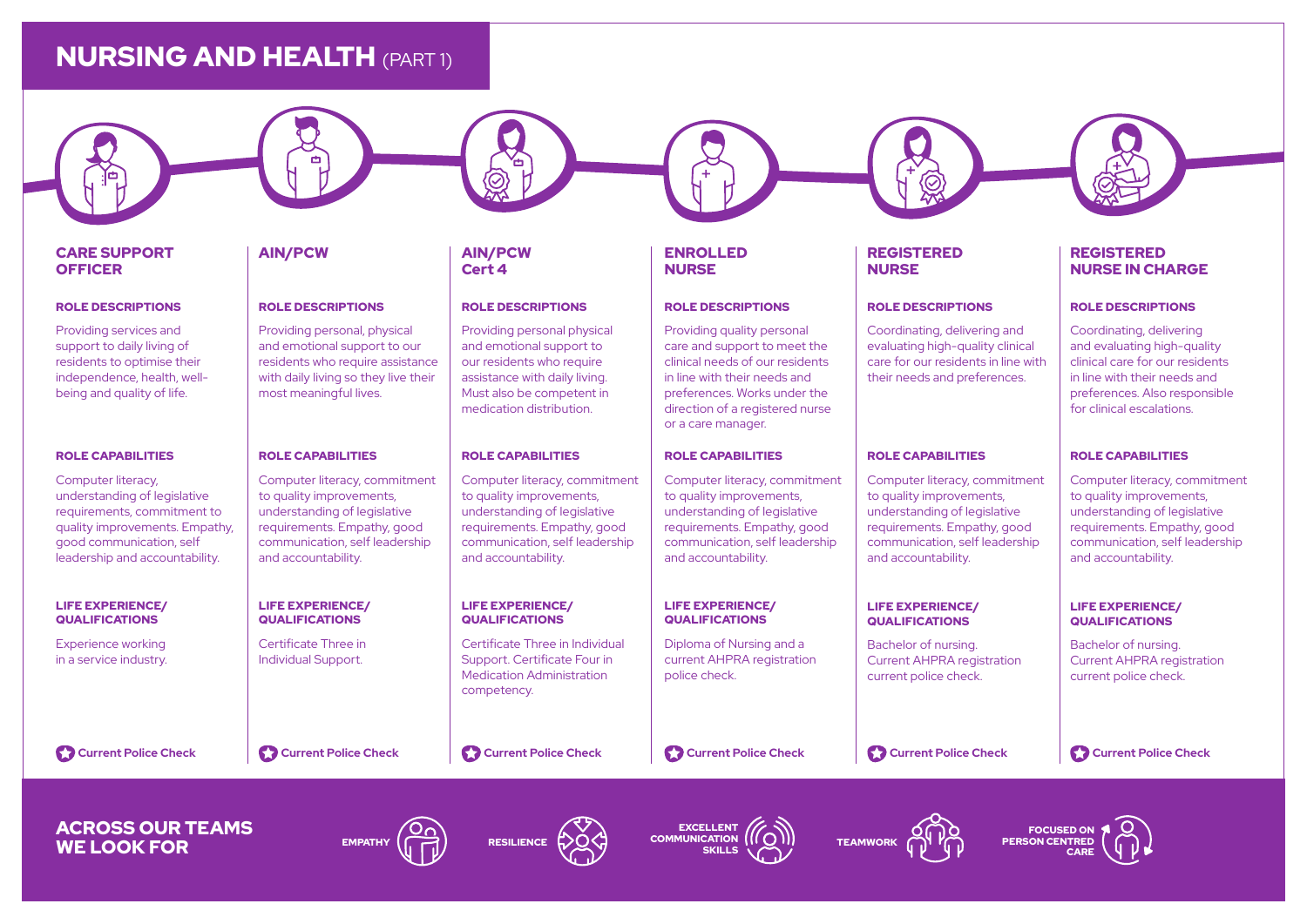# NURSING AND HEALTH (PART 1)

### CARE SUPPORT **OFFICER**

#### ROLE DESCRIPTIONS

Providing services and support to daily living of residents to optimise their independence, health, wellbeing and quality of life.

#### ROLE CAPABILITIES

Computer literacy, understanding of legislative requirements, commitment to quality improvements. Empathy, good communication, self leadership and accountability.

#### LIFE EXPERIENCE/ QUALIFICATIONS

Experience working in a service industry. AIN/PCW AIN/PCW

#### ROLE DESCRIPTIONS

Providing personal, physical and emotional support to our residents who require assistance with daily living so they live their most meaningful lives.

#### ROLE CAPABILITIES

Computer literacy, commitment to quality improvements, understanding of legislative requirements. Empathy, good communication, self leadership and accountability.

#### LIFE EXPERIENCE/ QUALIFICATIONS

Certificate Three in Individual Support.

**Current Police Check Current Police Check Current Police Check Current Police Check Current Police Check Current Police Check**

# Cert 4

#### ROLE DESCRIPTIONS

Providing personal physical and emotional support to our residents who require assistance with daily living. Must also be competent in medication distribution.

#### ROLE CAPABILITIES

Computer literacy, commitment to quality improvements, understanding of legislative requirements. Empathy, good communication, self leadership and accountability.

#### LIFE EXPERIENCE/ QUALIFICATIONS

Certificate Three in Individual Support. Certificate Four in Medication Administration competency.

#### ENROLLED NURSE

#### ROLE DESCRIPTIONS

Providing quality personal care and support to meet the clinical needs of our residents in line with their needs and preferences. Works under the direction of a registered nurse or a care manager.

#### ROLE CAPABILITIES

Computer literacy, commitment to quality improvements, understanding of legislative requirements. Empathy, good communication, self leadership and accountability.

#### LIFE EXPERIENCE/ QUALIFICATIONS

Diploma of Nursing and a current AHPRA registration police check.

### REGISTERED NURSE

#### ROLE DESCRIPTIONS

Coordinating, delivering and evaluating high-quality clinical care for our residents in line with their needs and preferences.

#### ROLE CAPABILITIES

Computer literacy, commitment to quality improvements, understanding of legislative requirements. Empathy, good communication, self leadership and accountability.

#### LIFE EXPERIENCE/ QUALIFICATIONS

Bachelor of nursing. Current AHPRA registration current police check.

LIFE EXPERIENCE/ QUALIFICATIONS Bachelor of nursing. Current AHPRA registration current police check.

and accountability.

ROLE CAPABILITIES

ROLE DESCRIPTIONS Coordinating, delivering and evaluating high-quality clinical care for our residents in line with their needs and preferences. Also responsible for clinical escalations.

REGISTERED NURSE IN CHARGE

Computer literacy, commitment to quality improvements, understanding of legislative requirements. Empathy, good communication, self leadership

# ACROSS OUR TEAMS WE LOOK FOR EMPATHY (THE RESILIENCE